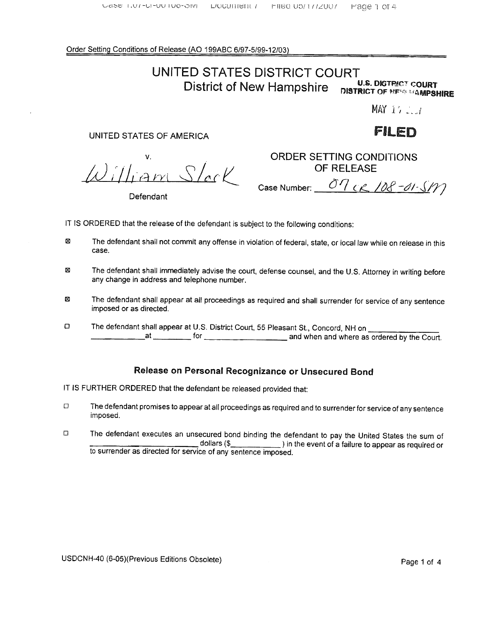Order Setting Conditions of Release (AO 199ABC 6/97-5/99- 12/03)

# UNITED STATES DISTRICT COURT<br>District of Now Hampshire U.S. DISTRICT COURT

District of New Hampshire DISTRICT OF MENGENEURE

MAY  $17.2.1$ 

# UNITED STATES OF AMERICA **FILED**

٧.  $\omega$ illiam Slac

Defendant

ORDER SETTING CONDITIONS OF RELEASE

Case Number:  $\frac{\partial \eta}{\partial \mathcal{L}}$   $\frac{\partial \mathcal{L}}{\partial \mathcal{L}}$  -  $\frac{\partial \mathcal{L}}{\partial \mathcal{L}}$ 

IT IS ORDERED that the release of the defendant is subject to the following conditions:

- ⊠ The defendant shall not commit any offense in violation of federal, state, or local law while on release in this case.
- The defendant shall immediately advise the court, defense counsel, and the U.S. Attorney in writing before Σ any change in address and telephone number.
- Ø imposed or as directed.
- The defendant shall appear at all proceedings as required and shall surrender for service of any sentence<br>
The defendant shall appear at U.S. District Court, 55 Pleasant St., Concord, NH on<br>
The defendant shall appear at U  $\Box$ and when and where as ordered by the Court.

# Release on Personal Recognizance or Unsecured Bond

IT IS FURTHER ORDERED that the defendant be released provided that:

- $\Box$ The defendant promises to appear at all proceedings as required and to surrender for service of any sentence imposed.
- $\Box$ The defendant executes an unsecured bond binding the defendant to pay the United States the sum of dollars (\$ to surrender as directed for service of any sentence imposed.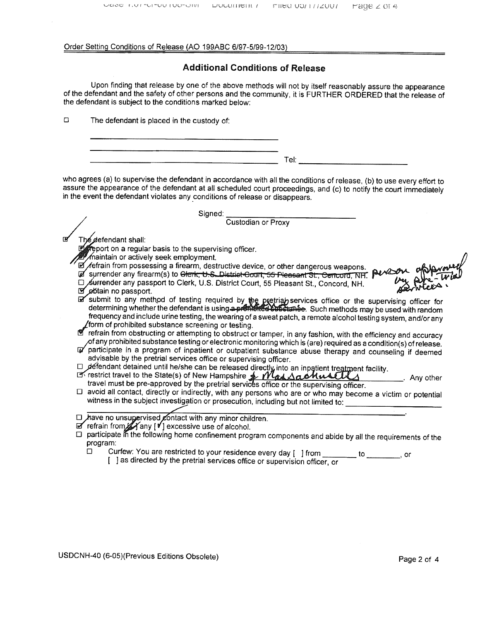#### Order Setting Conditions of Release (AO 199ABC 6/97-5/99-12/03)

## **Additional Conditions of Release**

Upon finding that release by one of the above methods will not by itself reasonably assure the appearance of the defendant and the safety of other persons and the community, it is FURTHER ORDERED that the release of the defendant is subject to the conditions marked below:

 $\Box$ The defendant is placed in the custody of:

| $\sim$ |
|--------|
| ·eı.   |

who agrees (a) to supervise the defendant in accordance with all the conditions of release, (b) to use every effort to assure the appearance of the defendant at all scheduled court proceedings, and (c) to notify the court immediately in the event the defendant violates any conditions of release or disappears.

|    | Signed:                                                                                                                                                                                                                                                                                                                                                                                                      |  |
|----|--------------------------------------------------------------------------------------------------------------------------------------------------------------------------------------------------------------------------------------------------------------------------------------------------------------------------------------------------------------------------------------------------------------|--|
|    | Custodian or Proxy                                                                                                                                                                                                                                                                                                                                                                                           |  |
| ाय | he⊈efendant shall:<br>$\mathbb{Z}$ report on a regular basis to the supervising officer.<br>Maintain or actively seek employment.<br>Defrain from possessing a firearm, destructive device, or other dangerous weapons.<br>a surrender any firearm(s) to Clerk, U.S. District Court, 55 Pleasant St., Concord, NH.<br>El Surrender any passport to Clerk, U.S. District Court, 55 Pleasant St., Concord, NH. |  |
|    | obtain no passport.                                                                                                                                                                                                                                                                                                                                                                                          |  |
|    | submit to any method of testing required by the pretrial services office or the supervising officer for determining whether the defendant is using a premising a substant of Such methods may be used with random<br>frequency and include urine testing, the wearing of a sweat patch, a remote alcohol testing system, and/or any<br>form of prohibited substance screening or testing.                    |  |
|    | refrain from obstructing or attempting to obstruct or tamper, in any fashion, with the efficiency and accuracy                                                                                                                                                                                                                                                                                               |  |
|    | of any prohibited substance testing or electronic monitoring which is (are) required as a condition(s) of release.<br>participate in a program of inpatient or outpatient substance abuse therapy and counseling if deemed<br>advisable by the pretrial services office or supervising officer.                                                                                                              |  |
|    | □ defendant detained until he/she can be released directly into an inpatient treatment facility.                                                                                                                                                                                                                                                                                                             |  |
|    | B restrict travel to the State(s) of New Hampshire & Was Sachusally<br>Any other<br>travel must be pre-approved by the pretrial services office or the supervising officer.                                                                                                                                                                                                                                  |  |
|    | □ avoid all contact, directly or indirectly, with any persons who are or who may become a victim or potential<br>witness in the subject investigation or prosecution, including but not limited to:                                                                                                                                                                                                          |  |
|    | D have no unsupervised contact with any minor children.<br>$\mathbb Z$ refrain from $\mathbb Z$ any $[\mathbb V]$ excessive use of alcohol.<br>participate in the following home confinement program components and abide by all the requirements of the<br>program:                                                                                                                                         |  |
|    | Curfew: You are restricted to your residence every day [ ] from<br>$\Box$<br>to to<br>or<br>[ ] as directed by the pretrial services office or supervision officer, or                                                                                                                                                                                                                                       |  |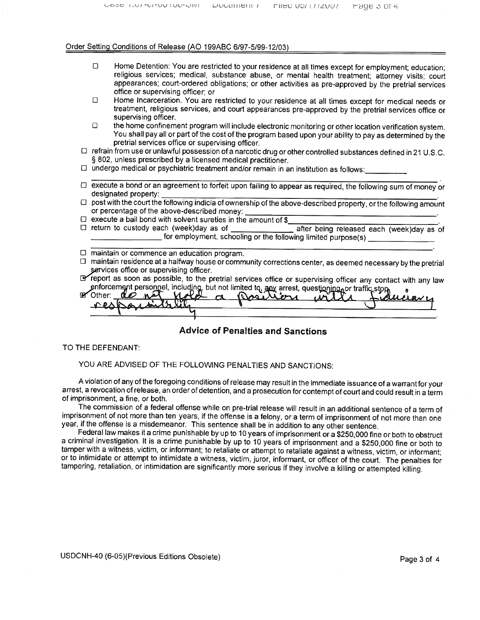#### Order Setting Conditions of Release (AO 199ABC 6/97-5/99-12/03)

- Home Detention: You are restricted to your residence at all times except for employment; education;  $\Box$ religious services; medical, substance abuse, or mental health treatment; attorney visits; court appearances; court-ordered obligations; or other activities as pre-approved by the pretrial services office or supervising officer; or
- Home Incarceration. You are restricted to your residence at all times except for medical needs or  $\Box$ treatment, religious services, and court appearances pre-approved by the pretrial services office or supervising officer.
- $\Box$ the home confinement program will include electronic monitoring or other location verification system. You shall pay all or part of the cost of the program based upon your abilty to pay as determined by the pretrial services office or supervising officer.
- refrain from use or unlawful possession of a narcotic drug or other controlled substances defined in 21 U. S. C. § 802, unless prescribed by a licensed medical practitioner.
- $\Box$  undergo medical or psychiatric treatment and/or remain in an institution as follows:
- $\Box$  execute a bond or an agreement to forfeit upon failing to appear as required, the following sum of money or designated property:
- $\Box$  post with the court the following indicia of ownership of the above-described property, or the following amount or percentage of the above-described money:
- $\Box$  execute a bail bond with solvent sureties in the amount of \$
	- after being released each (week)day as of for employment, schooling or the following limited purpose(s)
- $\Box$  maintain or commence an education program.
- $\Box$  maintain residence at a halfway house or community corrections center, as deemed necessary by the pretrial services office or supervising officer.
- CBreport as soon as possible , to the pretrial services offce or supervising offcer any contact with any law enforcement personnel, including, but not limited to, any arrest, questioning or traffic stop

IE Other.

Advice of Penalties and Sanctions

#### TO THE DEFENDANT:

YOU ARE ADVISED OF THE FOLLOWING PENALTIES AND SANCTIONS:

A violation of any of the foregoing conditions of release may result in the immediate issuance of a warrant for your arrest, a revocation of release, an order of detention, and a prosecution for contempt of court and could result in a term of imprisonment, a fine, or both.

The commission of a federal offense while on pre-trial release will result in an additional sentence of a term of imprisonment of not more than ten years, if the offense is a felony, or a term of imprisonment of not more than one year, if the offense is a misdemeanor. This sentence shall be in addition to any other sentence.

a criminal investigation. It is a crime punishable by up to 10 years of imprisonment and a \$250,000 fine or both to<br>tamper with a witness, victim, or informant; to retaliate or attempt to retaliate against a witness, victi or to intimidate or attempt to intimidate a witness, victim, juror, informant, or officer of the court. The penalties for<br>tampering, retaliation, or intimidation are significantly more serious if they involve a killing or